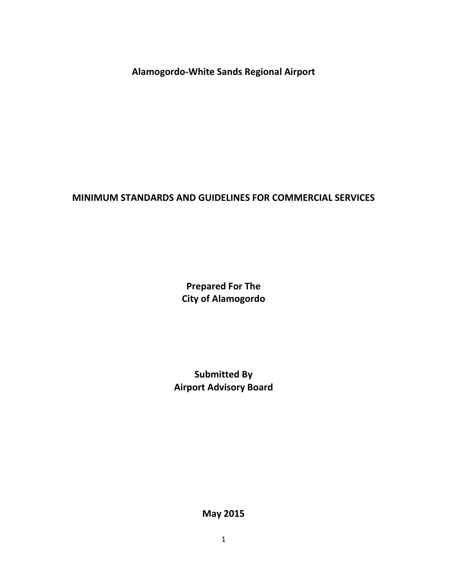**Alamogordo-White Sands Regional Airport** 

# **MINIMUM STANDARDS AND GUIDELINES FOR COMMERCIAL SERVICES**

**Prepared For The City of Alamogordo** 

**Submitted By Airport Advisory Board** 

**May 2015**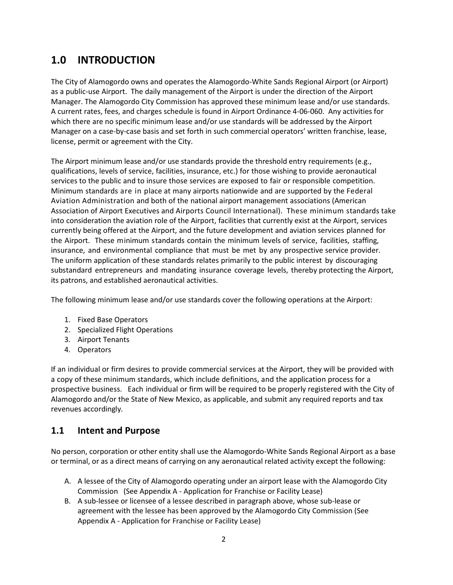# **1.0 INTRODUCTION**

The City of Alamogordo owns and operates the Alamogordo-White Sands Regional Airport (or Airport) as a public-use Airport. The daily management of the Airport is under the direction of the Airport Manager. The Alamogordo City Commission has approved these minimum lease and/or use standards. A current rates, fees, and charges schedule is found in Airport Ordinance 4-06-060. Any activities for which there are no specific minimum lease and/or use standards will be addressed by the Airport Manager on a case-by-case basis and set forth in such commercial operators' written franchise, lease, license, permit or agreement with the City.

The Airport minimum lease and/or use standards provide the threshold entry requirements (e.g., qualifications, levels of service, facilities, insurance, etc.) for those wishing to provide aeronautical services to the public and to insure those services are exposed to fair or responsible competition. Minimum standards are in place at many airports nationwide and are supported by the Federal Aviation Administration and both of the national airport management associations (American Association of Airport Executives and Airports Council International). These minimum standards take into consideration the aviation role of the Airport, facilities that currently exist at the Airport, services currently being offered at the Airport, and the future development and aviation services planned for the Airport. These minimum standards contain the minimum levels of service, facilities, staffing, insurance, and environmental compliance that must be met by any prospective service provider. The uniform application of these standards relates primarily to the public interest by discouraging substandard entrepreneurs and mandating insurance coverage levels, thereby protecting the Airport, its patrons, and established aeronautical activities.

The following minimum lease and/or use standards cover the following operations at the Airport:

- 1. Fixed Base Operators
- 2. Specialized Flight Operations
- 3. Airport Tenants
- 4. Operators

If an individual or firm desires to provide commercial services at the Airport, they will be provided with a copy of these minimum standards, which include definitions, and the application process for a prospective business. Each individual or firm will be required to be properly registered with the City of Alamogordo and/or the State of New Mexico, as applicable, and submit any required reports and tax revenues accordingly.

### **1.1 Intent and Purpose**

No person, corporation or other entity shall use the Alamogordo-White Sands Regional Airport as a base or terminal, or as a direct means of carrying on any aeronautical related activity except the following:

- A. A lessee of the City of Alamogordo operating under an airport lease with the Alamogordo City Commission (See Appendix A - Application for Franchise or Facility Lease)
- B. A sub-lessee or licensee of a lessee described in paragraph above, whose sub-lease or agreement with the lessee has been approved by the Alamogordo City Commission (See Appendix A - Application for Franchise or Facility Lease)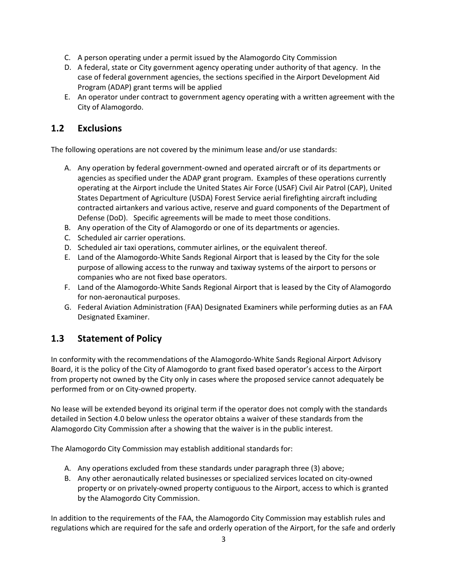- C. A person operating under a permit issued by the Alamogordo City Commission
- D. A federal, state or City government agency operating under authority of that agency. In the case of federal government agencies, the sections specified in the Airport Development Aid Program (ADAP) grant terms will be applied
- E. An operator under contract to government agency operating with a written agreement with the City of Alamogordo.

# **1.2 Exclusions**

The following operations are not covered by the minimum lease and/or use standards:

- A. Any operation by federal government-owned and operated aircraft or of its departments or agencies as specified under the ADAP grant program. Examples of these operations currently operating at the Airport include the United States Air Force (USAF) Civil Air Patrol (CAP), United States Department of Agriculture (USDA) Forest Service aerial firefighting aircraft including contracted airtankers and various active, reserve and guard components of the Department of Defense (DoD). Specific agreements will be made to meet those conditions.
- B. Any operation of the City of Alamogordo or one of its departments or agencies.
- C. Scheduled air carrier operations.
- D. Scheduled air taxi operations, commuter airlines, or the equivalent thereof.
- E. Land of the Alamogordo-White Sands Regional Airport that is leased by the City for the sole purpose of allowing access to the runway and taxiway systems of the airport to persons or companies who are not fixed base operators.
- F. Land of the Alamogordo-White Sands Regional Airport that is leased by the City of Alamogordo for non-aeronautical purposes.
- G. Federal Aviation Administration (FAA) Designated Examiners while performing duties as an FAA Designated Examiner.

# **1.3 Statement of Policy**

In conformity with the recommendations of the Alamogordo-White Sands Regional Airport Advisory Board, it is the policy of the City of Alamogordo to grant fixed based operator's access to the Airport from property not owned by the City only in cases where the proposed service cannot adequately be performed from or on City-owned property.

No lease will be extended beyond its original term if the operator does not comply with the standards detailed in Section 4.0 below unless the operator obtains a waiver of these standards from the Alamogordo City Commission after a showing that the waiver is in the public interest.

The Alamogordo City Commission may establish additional standards for:

- A. Any operations excluded from these standards under paragraph three (3) above;
- B. Any other aeronautically related businesses or specialized services located on city-owned property or on privately-owned property contiguous to the Airport, access to which is granted by the Alamogordo City Commission.

In addition to the requirements of the FAA, the Alamogordo City Commission may establish rules and regulations which are required for the safe and orderly operation of the Airport, for the safe and orderly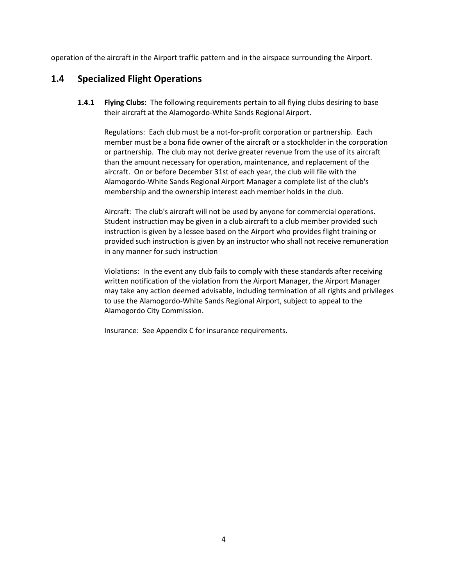operation of the aircraft in the Airport traffic pattern and in the airspace surrounding the Airport.

### **1.4 Specialized Flight Operations**

**1.4.1 Flying Clubs:** The following requirements pertain to all flying clubs desiring to base their aircraft at the Alamogordo-White Sands Regional Airport.

Regulations: Each club must be a not-for-profit corporation or partnership. Each member must be a bona fide owner of the aircraft or a stockholder in the corporation or partnership. The club may not derive greater revenue from the use of its aircraft than the amount necessary for operation, maintenance, and replacement of the aircraft. On or before December 31st of each year, the club will file with the Alamogordo-White Sands Regional Airport Manager a complete list of the club's membership and the ownership interest each member holds in the club.

Aircraft: The club's aircraft will not be used by anyone for commercial operations. Student instruction may be given in a club aircraft to a club member provided such instruction is given by a lessee based on the Airport who provides flight training or provided such instruction is given by an instructor who shall not receive remuneration in any manner for such instruction

Violations: In the event any club fails to comply with these standards after receiving written notification of the violation from the Airport Manager, the Airport Manager may take any action deemed advisable, including termination of all rights and privileges to use the Alamogordo-White Sands Regional Airport, subject to appeal to the Alamogordo City Commission.

Insurance: See Appendix C for insurance requirements.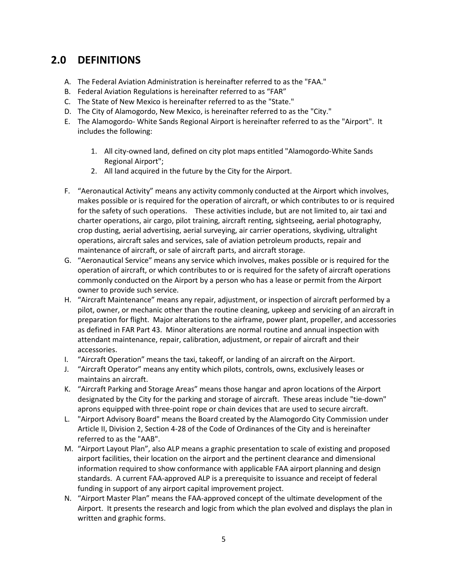# **2.0 DEFINITIONS**

- A. The Federal Aviation Administration is hereinafter referred to as the "FAA."
- B. Federal Aviation Regulations is hereinafter referred to as "FAR"
- C. The State of New Mexico is hereinafter referred to as the "State."
- D. The City of Alamogordo, New Mexico, is hereinafter referred to as the "City."
- E. The Alamogordo- White Sands Regional Airport is hereinafter referred to as the "Airport". It includes the following:
	- 1. All city-owned land, defined on city plot maps entitled "Alamogordo-White Sands Regional Airport";
	- 2. All land acquired in the future by the City for the Airport.
- F. "Aeronautical Activity" means any activity commonly conducted at the Airport which involves, makes possible or is required for the operation of aircraft, or which contributes to or is required for the safety of such operations. These activities include, but are not limited to, air taxi and charter operations, air cargo, pilot training, aircraft renting, sightseeing, aerial photography, crop dusting, aerial advertising, aerial surveying, air carrier operations, skydiving, ultralight operations, aircraft sales and services, sale of aviation petroleum products, repair and maintenance of aircraft, or sale of aircraft parts, and aircraft storage.
- G. "Aeronautical Service" means any service which involves, makes possible or is required for the operation of aircraft, or which contributes to or is required for the safety of aircraft operations commonly conducted on the Airport by a person who has a lease or permit from the Airport owner to provide such service.
- H. "Aircraft Maintenance" means any repair, adjustment, or inspection of aircraft performed by a pilot, owner, or mechanic other than the routine cleaning, upkeep and servicing of an aircraft in preparation for flight. Major alterations to the airframe, power plant, propeller, and accessories as defined in FAR Part 43. Minor alterations are normal routine and annual inspection with attendant maintenance, repair, calibration, adjustment, or repair of aircraft and their accessories.
- I. "Aircraft Operation" means the taxi, takeoff, or landing of an aircraft on the Airport.
- J. "Aircraft Operator" means any entity which pilots, controls, owns, exclusively leases or maintains an aircraft.
- K. "Aircraft Parking and Storage Areas" means those hangar and apron locations of the Airport designated by the City for the parking and storage of aircraft. These areas include "tie-down" aprons equipped with three-point rope or chain devices that are used to secure aircraft.
- L. "Airport Advisory Board" means the Board created by the Alamogordo City Commission under Article II, Division 2, Section 4-28 of the Code of Ordinances of the City and is hereinafter referred to as the "AAB".
- M. "Airport Layout Plan", also ALP means a graphic presentation to scale of existing and proposed airport facilities, their location on the airport and the pertinent clearance and dimensional information required to show conformance with applicable FAA airport planning and design standards. A current FAA-approved ALP is a prerequisite to issuance and receipt of federal funding in support of any airport capital improvement project.
- N. "Airport Master Plan" means the FAA-approved concept of the ultimate development of the Airport. It presents the research and logic from which the plan evolved and displays the plan in written and graphic forms.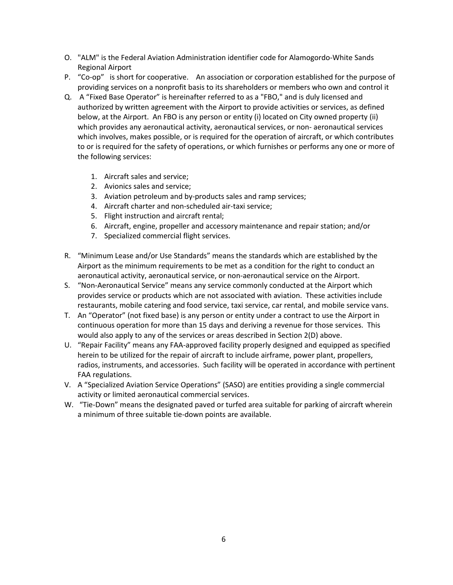- O. "ALM" is the Federal Aviation Administration identifier code for Alamogordo-White Sands Regional Airport
- P. "Co-op" is short for cooperative. An association or corporation established for the purpose of providing services on a nonprofit basis to its shareholders or members who own and control it
- Q. A "Fixed Base Operator" is hereinafter referred to as a "FBO," and is duly licensed and authorized by written agreement with the Airport to provide activities or services, as defined below, at the Airport. An FBO is any person or entity (i) located on City owned property (ii) which provides any aeronautical activity, aeronautical services, or non- aeronautical services which involves, makes possible, or is required for the operation of aircraft, or which contributes to or is required for the safety of operations, or which furnishes or performs any one or more of the following services:
	- 1. Aircraft sales and service;
	- 2. Avionics sales and service;
	- 3. Aviation petroleum and by-products sales and ramp services;
	- 4. Aircraft charter and non-scheduled air-taxi service;
	- 5. Flight instruction and aircraft rental;
	- 6. Aircraft, engine, propeller and accessory maintenance and repair station; and/or
	- 7. Specialized commercial flight services.
- R. "Minimum Lease and/or Use Standards" means the standards which are established by the Airport as the minimum requirements to be met as a condition for the right to conduct an aeronautical activity, aeronautical service, or non-aeronautical service on the Airport.
- S. "Non-Aeronautical Service" means any service commonly conducted at the Airport which provides service or products which are not associated with aviation. These activities include restaurants, mobile catering and food service, taxi service, car rental, and mobile service vans.
- T. An "Operator" (not fixed base) is any person or entity under a contract to use the Airport in continuous operation for more than 15 days and deriving a revenue for those services. This would also apply to any of the services or areas described in Section 2(D) above.
- U. "Repair Facility" means any FAA-approved facility properly designed and equipped as specified herein to be utilized for the repair of aircraft to include airframe, power plant, propellers, radios, instruments, and accessories. Such facility will be operated in accordance with pertinent FAA regulations.
- V. A "Specialized Aviation Service Operations" (SASO) are entities providing a single commercial activity or limited aeronautical commercial services.
- W. "Tie-Down" means the designated paved or turfed area suitable for parking of aircraft wherein a minimum of three suitable tie-down points are available.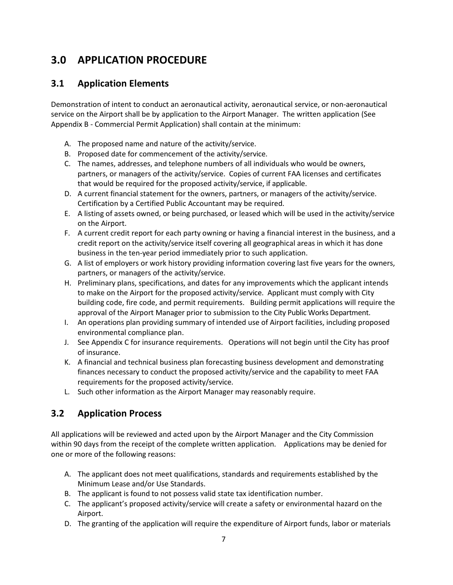# **3.0 APPLICATION PROCEDURE**

# **3.1 Application Elements**

Demonstration of intent to conduct an aeronautical activity, aeronautical service, or non-aeronautical service on the Airport shall be by application to the Airport Manager. The written application (See Appendix B - Commercial Permit Application) shall contain at the minimum:

- A. The proposed name and nature of the activity/service.
- B. Proposed date for commencement of the activity/service.
- C. The names, addresses, and telephone numbers of all individuals who would be owners, partners, or managers of the activity/service. Copies of current FAA licenses and certificates that would be required for the proposed activity/service, if applicable.
- D. A current financial statement for the owners, partners, or managers of the activity/service. Certification by a Certified Public Accountant may be required.
- E. A listing of assets owned, or being purchased, or leased which will be used in the activity/service on the Airport.
- F. A current credit report for each party owning or having a financial interest in the business, and a credit report on the activity/service itself covering all geographical areas in which it has done business in the ten-year period immediately prior to such application.
- G. A list of employers or work history providing information covering last five years for the owners, partners, or managers of the activity/service.
- H. Preliminary plans, specifications, and dates for any improvements which the applicant intends to make on the Airport for the proposed activity/service. Applicant must comply with City building code, fire code, and permit requirements. Building permit applications will require the approval of the Airport Manager prior to submission to the City Public Works Department.
- I. An operations plan providing summary of intended use of Airport facilities, including proposed environmental compliance plan.
- J. See Appendix C for insurance requirements. Operations will not begin until the City has proof of insurance.
- K. A financial and technical business plan forecasting business development and demonstrating finances necessary to conduct the proposed activity/service and the capability to meet FAA requirements for the proposed activity/service.
- L. Such other information as the Airport Manager may reasonably require.

# **3.2 Application Process**

All applications will be reviewed and acted upon by the Airport Manager and the City Commission within 90 days from the receipt of the complete written application. Applications may be denied for one or more of the following reasons:

- A. The applicant does not meet qualifications, standards and requirements established by the Minimum Lease and/or Use Standards.
- B. The applicant is found to not possess valid state tax identification number.
- C. The applicant's proposed activity/service will create a safety or environmental hazard on the Airport.
- D. The granting of the application will require the expenditure of Airport funds, labor or materials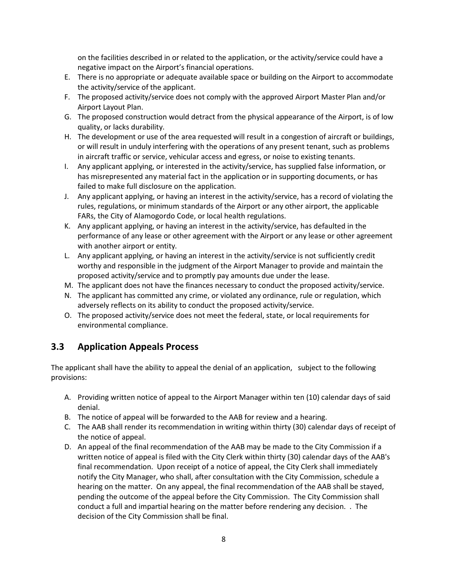on the facilities described in or related to the application, or the activity/service could have a negative impact on the Airport's financial operations.

- E. There is no appropriate or adequate available space or building on the Airport to accommodate the activity/service of the applicant.
- F. The proposed activity/service does not comply with the approved Airport Master Plan and/or Airport Layout Plan.
- G. The proposed construction would detract from the physical appearance of the Airport, is of low quality, or lacks durability.
- H. The development or use of the area requested will result in a congestion of aircraft or buildings, or will result in unduly interfering with the operations of any present tenant, such as problems in aircraft traffic or service, vehicular access and egress, or noise to existing tenants.
- I. Any applicant applying, or interested in the activity/service, has supplied false information, or has misrepresented any material fact in the application or in supporting documents, or has failed to make full disclosure on the application.
- J. Any applicant applying, or having an interest in the activity/service, has a record of violating the rules, regulations, or minimum standards of the Airport or any other airport, the applicable FARs, the City of Alamogordo Code, or local health regulations.
- K. Any applicant applying, or having an interest in the activity/service, has defaulted in the performance of any lease or other agreement with the Airport or any lease or other agreement with another airport or entity.
- L. Any applicant applying, or having an interest in the activity/service is not sufficiently credit worthy and responsible in the judgment of the Airport Manager to provide and maintain the proposed activity/service and to promptly pay amounts due under the lease.
- M. The applicant does not have the finances necessary to conduct the proposed activity/service.
- N. The applicant has committed any crime, or violated any ordinance, rule or regulation, which adversely reflects on its ability to conduct the proposed activity/service.
- O. The proposed activity/service does not meet the federal, state, or local requirements for environmental compliance.

# **3.3 Application Appeals Process**

The applicant shall have the ability to appeal the denial of an application, subject to the following provisions:

- A. Providing written notice of appeal to the Airport Manager within ten (10) calendar days of said denial.
- B. The notice of appeal will be forwarded to the AAB for review and a hearing.
- C. The AAB shall render its recommendation in writing within thirty (30) calendar days of receipt of the notice of appeal.
- D. An appeal of the final recommendation of the AAB may be made to the City Commission if a written notice of appeal is filed with the City Clerk within thirty (30) calendar days of the AAB's final recommendation. Upon receipt of a notice of appeal, the City Clerk shall immediately notify the City Manager, who shall, after consultation with the City Commission, schedule a hearing on the matter. On any appeal, the final recommendation of the AAB shall be stayed, pending the outcome of the appeal before the City Commission. The City Commission shall conduct a full and impartial hearing on the matter before rendering any decision. . The decision of the City Commission shall be final.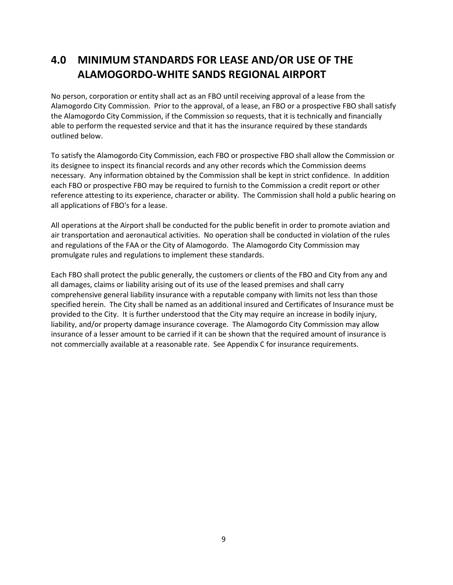# **4.0 MINIMUM STANDARDS FOR LEASE AND/OR USE OF THE ALAMOGORDO-WHITE SANDS REGIONAL AIRPORT**

No person, corporation or entity shall act as an FBO until receiving approval of a lease from the Alamogordo City Commission. Prior to the approval, of a lease, an FBO or a prospective FBO shall satisfy the Alamogordo City Commission, if the Commission so requests, that it is technically and financially able to perform the requested service and that it has the insurance required by these standards outlined below.

To satisfy the Alamogordo City Commission, each FBO or prospective FBO shall allow the Commission or its designee to inspect its financial records and any other records which the Commission deems necessary. Any information obtained by the Commission shall be kept in strict confidence. In addition each FBO or prospective FBO may be required to furnish to the Commission a credit report or other reference attesting to its experience, character or ability. The Commission shall hold a public hearing on all applications of FBO's for a lease.

All operations at the Airport shall be conducted for the public benefit in order to promote aviation and air transportation and aeronautical activities. No operation shall be conducted in violation of the rules and regulations of the FAA or the City of Alamogordo. The Alamogordo City Commission may promulgate rules and regulations to implement these standards.

Each FBO shall protect the public generally, the customers or clients of the FBO and City from any and all damages, claims or liability arising out of its use of the leased premises and shall carry comprehensive general liability insurance with a reputable company with limits not less than those specified herein. The City shall be named as an additional insured and Certificates of Insurance must be provided to the City. It is further understood that the City may require an increase in bodily injury, liability, and/or property damage insurance coverage. The Alamogordo City Commission may allow insurance of a lesser amount to be carried if it can be shown that the required amount of insurance is not commercially available at a reasonable rate. See Appendix C for insurance requirements.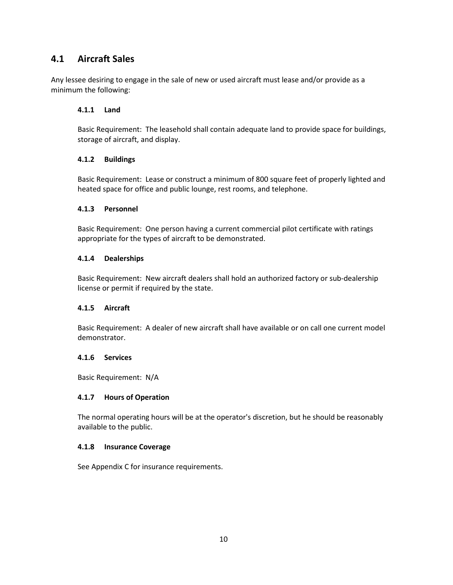### **4.1 Aircraft Sales**

Any lessee desiring to engage in the sale of new or used aircraft must lease and/or provide as a minimum the following:

#### **4.1.1 Land**

Basic Requirement: The leasehold shall contain adequate land to provide space for buildings, storage of aircraft, and display.

#### **4.1.2 Buildings**

Basic Requirement: Lease or construct a minimum of 800 square feet of properly lighted and heated space for office and public lounge, rest rooms, and telephone.

#### **4.1.3 Personnel**

Basic Requirement: One person having a current commercial pilot certificate with ratings appropriate for the types of aircraft to be demonstrated.

#### **4.1.4 Dealerships**

Basic Requirement: New aircraft dealers shall hold an authorized factory or sub-dealership license or permit if required by the state.

#### **4.1.5 Aircraft**

Basic Requirement: A dealer of new aircraft shall have available or on call one current model demonstrator.

#### **4.1.6 Services**

Basic Requirement: N/A

#### **4.1.7 Hours of Operation**

The normal operating hours will be at the operator's discretion, but he should be reasonably available to the public.

#### **4.1.8 Insurance Coverage**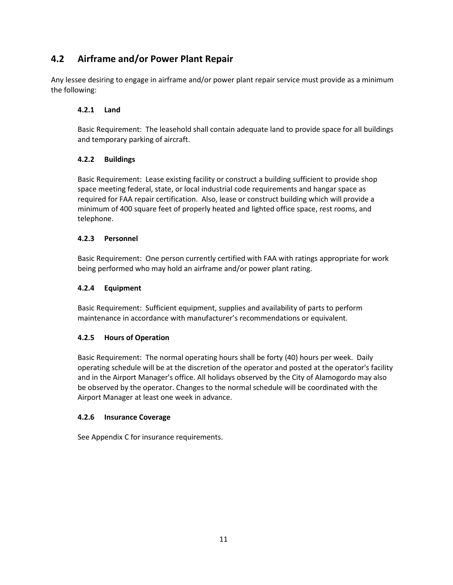# **4.2 Airframe and/or Power Plant Repair**

Any lessee desiring to engage in airframe and/or power plant repair service must provide as a minimum the following:

#### **4.2.1 Land**

Basic Requirement: The leasehold shall contain adequate land to provide space for all buildings and temporary parking of aircraft.

#### **4.2.2 Buildings**

Basic Requirement: Lease existing facility or construct a building sufficient to provide shop space meeting federal, state, or local industrial code requirements and hangar space as required for FAA repair certification. Also, lease or construct building which will provide a minimum of 400 square feet of properly heated and lighted office space, rest rooms, and telephone.

#### **4.2.3 Personnel**

Basic Requirement: One person currently certified with FAA with ratings appropriate for work being performed who may hold an airframe and/or power plant rating.

#### **4.2.4 Equipment**

Basic Requirement: Sufficient equipment, supplies and availability of parts to perform maintenance in accordance with manufacturer's recommendations or equivalent.

#### **4.2.5 Hours of Operation**

Basic Requirement: The normal operating hours shall be forty (40) hours per week. Daily operating schedule will be at the discretion of the operator and posted at the operator's facility and in the Airport Manager's office. All holidays observed by the City of Alamogordo may also be observed by the operator. Changes to the normal schedule will be coordinated with the Airport Manager at least one week in advance.

#### **4.2.6 Insurance Coverage**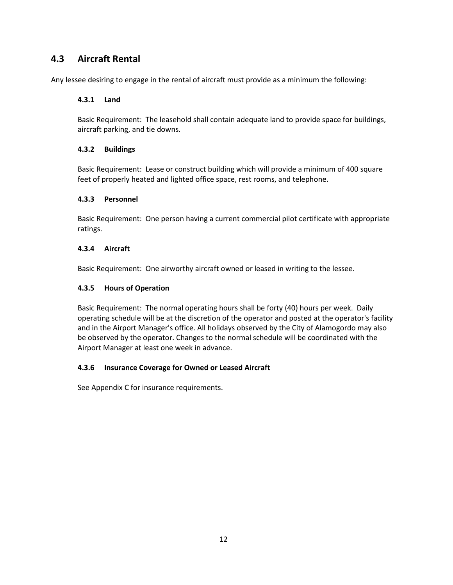# **4.3 Aircraft Rental**

Any lessee desiring to engage in the rental of aircraft must provide as a minimum the following:

#### **4.3.1 Land**

Basic Requirement: The leasehold shall contain adequate land to provide space for buildings, aircraft parking, and tie downs.

#### **4.3.2 Buildings**

Basic Requirement: Lease or construct building which will provide a minimum of 400 square feet of properly heated and lighted office space, rest rooms, and telephone.

#### **4.3.3 Personnel**

Basic Requirement: One person having a current commercial pilot certificate with appropriate ratings.

#### **4.3.4 Aircraft**

Basic Requirement: One airworthy aircraft owned or leased in writing to the lessee.

#### **4.3.5 Hours of Operation**

Basic Requirement: The normal operating hours shall be forty (40) hours per week. Daily operating schedule will be at the discretion of the operator and posted at the operator's facility and in the Airport Manager's office. All holidays observed by the City of Alamogordo may also be observed by the operator. Changes to the normal schedule will be coordinated with the Airport Manager at least one week in advance.

#### **4.3.6 Insurance Coverage for Owned or Leased Aircraft**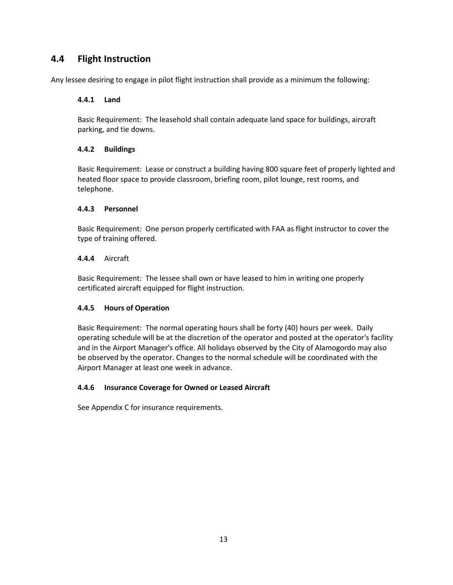# **4.4 Flight Instruction**

Any lessee desiring to engage in pilot flight instruction shall provide as a minimum the following:

#### **4.4.1 Land**

Basic Requirement: The leasehold shall contain adequate land space for buildings, aircraft parking, and tie downs.

#### **4.4.2 Buildings**

Basic Requirement: Lease or construct a building having 800 square feet of properly lighted and heated floor space to provide classroom, briefing room, pilot lounge, rest rooms, and telephone.

#### **4.4.3 Personnel**

Basic Requirement: One person properly certificated with FAA as flight instructor to cover the type of training offered.

#### **4.4.4** Aircraft

Basic Requirement: The lessee shall own or have leased to him in writing one properly certificated aircraft equipped for flight instruction.

#### **4.4.5 Hours of Operation**

Basic Requirement: The normal operating hours shall be forty (40) hours per week. Daily operating schedule will be at the discretion of the operator and posted at the operator's facility and in the Airport Manager's office. All holidays observed by the City of Alamogordo may also be observed by the operator. Changes to the normal schedule will be coordinated with the Airport Manager at least one week in advance.

#### **4.4.6 Insurance Coverage for Owned or Leased Aircraft**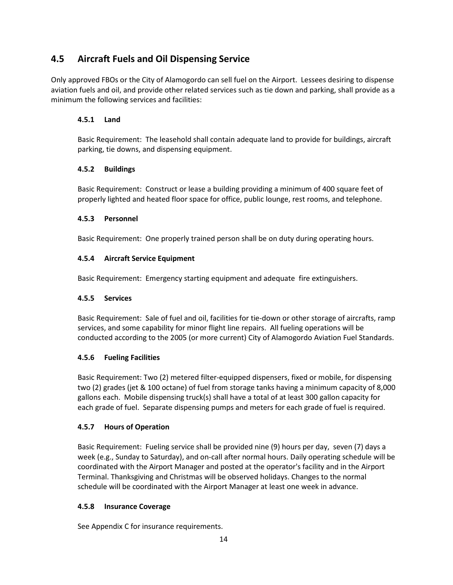# **4.5 Aircraft Fuels and Oil Dispensing Service**

Only approved FBOs or the City of Alamogordo can sell fuel on the Airport. Lessees desiring to dispense aviation fuels and oil, and provide other related services such as tie down and parking, shall provide as a minimum the following services and facilities:

### **4.5.1 Land**

Basic Requirement: The leasehold shall contain adequate land to provide for buildings, aircraft parking, tie downs, and dispensing equipment.

#### **4.5.2 Buildings**

Basic Requirement: Construct or lease a building providing a minimum of 400 square feet of properly lighted and heated floor space for office, public lounge, rest rooms, and telephone.

### **4.5.3 Personnel**

Basic Requirement: One properly trained person shall be on duty during operating hours.

### **4.5.4 Aircraft Service Equipment**

Basic Requirement: Emergency starting equipment and adequate fire extinguishers.

#### **4.5.5 Services**

Basic Requirement: Sale of fuel and oil, facilities for tie-down or other storage of aircrafts, ramp services, and some capability for minor flight line repairs. All fueling operations will be conducted according to the 2005 (or more current) City of Alamogordo Aviation Fuel Standards.

### **4.5.6 Fueling Facilities**

Basic Requirement: Two (2) metered filter-equipped dispensers, fixed or mobile, for dispensing two (2) grades (jet & 100 octane) of fuel from storage tanks having a minimum capacity of 8,000 gallons each. Mobile dispensing truck(s) shall have a total of at least 300 gallon capacity for each grade of fuel. Separate dispensing pumps and meters for each grade of fuel is required.

### **4.5.7 Hours of Operation**

Basic Requirement: Fueling service shall be provided nine (9) hours per day, seven (7) days a week (e.g., Sunday to Saturday), and on-call after normal hours. Daily operating schedule will be coordinated with the Airport Manager and posted at the operator's facility and in the Airport Terminal. Thanksgiving and Christmas will be observed holidays. Changes to the normal schedule will be coordinated with the Airport Manager at least one week in advance.

### **4.5.8 Insurance Coverage**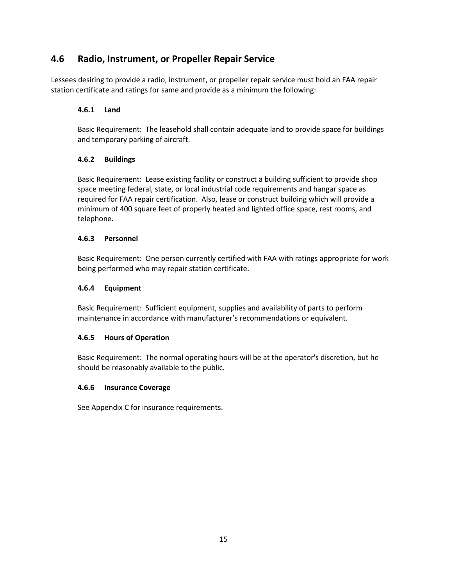### **4.6 Radio, Instrument, or Propeller Repair Service**

Lessees desiring to provide a radio, instrument, or propeller repair service must hold an FAA repair station certificate and ratings for same and provide as a minimum the following:

#### **4.6.1 Land**

Basic Requirement: The leasehold shall contain adequate land to provide space for buildings and temporary parking of aircraft.

#### **4.6.2 Buildings**

Basic Requirement: Lease existing facility or construct a building sufficient to provide shop space meeting federal, state, or local industrial code requirements and hangar space as required for FAA repair certification. Also, lease or construct building which will provide a minimum of 400 square feet of properly heated and lighted office space, rest rooms, and telephone.

#### **4.6.3 Personnel**

Basic Requirement: One person currently certified with FAA with ratings appropriate for work being performed who may repair station certificate.

#### **4.6.4 Equipment**

Basic Requirement: Sufficient equipment, supplies and availability of parts to perform maintenance in accordance with manufacturer's recommendations or equivalent.

#### **4.6.5 Hours of Operation**

Basic Requirement: The normal operating hours will be at the operator's discretion, but he should be reasonably available to the public.

#### **4.6.6 Insurance Coverage**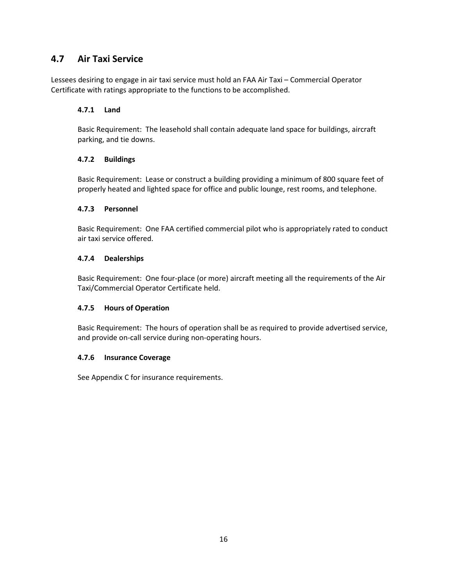### **4.7 Air Taxi Service**

Lessees desiring to engage in air taxi service must hold an FAA Air Taxi – Commercial Operator Certificate with ratings appropriate to the functions to be accomplished.

#### **4.7.1 Land**

Basic Requirement: The leasehold shall contain adequate land space for buildings, aircraft parking, and tie downs.

#### **4.7.2 Buildings**

Basic Requirement: Lease or construct a building providing a minimum of 800 square feet of properly heated and lighted space for office and public lounge, rest rooms, and telephone.

#### **4.7.3 Personnel**

Basic Requirement: One FAA certified commercial pilot who is appropriately rated to conduct air taxi service offered.

#### **4.7.4 Dealerships**

Basic Requirement: One four-place (or more) aircraft meeting all the requirements of the Air Taxi/Commercial Operator Certificate held.

#### **4.7.5 Hours of Operation**

Basic Requirement: The hours of operation shall be as required to provide advertised service, and provide on-call service during non-operating hours.

#### **4.7.6 Insurance Coverage**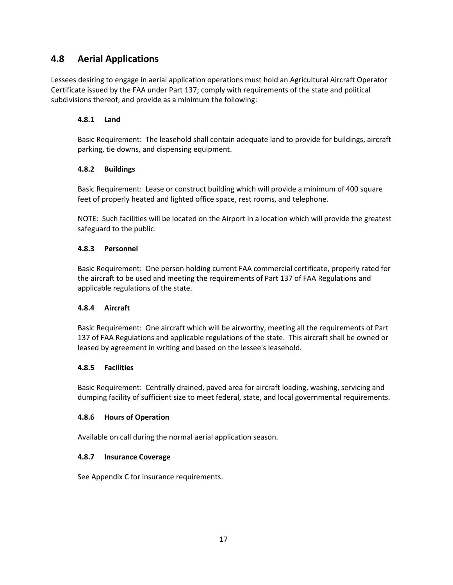### **4.8 Aerial Applications**

Lessees desiring to engage in aerial application operations must hold an Agricultural Aircraft Operator Certificate issued by the FAA under Part 137; comply with requirements of the state and political subdivisions thereof; and provide as a minimum the following:

#### **4.8.1 Land**

Basic Requirement: The leasehold shall contain adequate land to provide for buildings, aircraft parking, tie downs, and dispensing equipment.

#### **4.8.2 Buildings**

Basic Requirement: Lease or construct building which will provide a minimum of 400 square feet of properly heated and lighted office space, rest rooms, and telephone.

NOTE: Such facilities will be located on the Airport in a location which will provide the greatest safeguard to the public.

#### **4.8.3 Personnel**

Basic Requirement: One person holding current FAA commercial certificate, properly rated for the aircraft to be used and meeting the requirements of Part 137 of FAA Regulations and applicable regulations of the state.

#### **4.8.4 Aircraft**

Basic Requirement: One aircraft which will be airworthy, meeting all the requirements of Part 137 of FAA Regulations and applicable regulations of the state. This aircraft shall be owned or leased by agreement in writing and based on the lessee's leasehold.

#### **4.8.5 Facilities**

Basic Requirement: Centrally drained, paved area for aircraft loading, washing, servicing and dumping facility of sufficient size to meet federal, state, and local governmental requirements.

#### **4.8.6 Hours of Operation**

Available on call during the normal aerial application season.

#### **4.8.7 Insurance Coverage**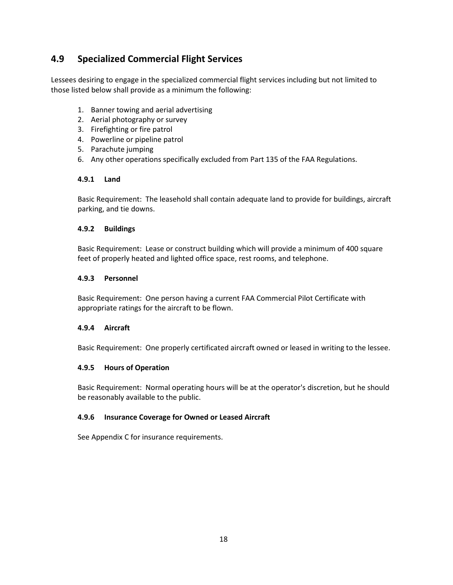# **4.9 Specialized Commercial Flight Services**

Lessees desiring to engage in the specialized commercial flight services including but not limited to those listed below shall provide as a minimum the following:

- 1. Banner towing and aerial advertising
- 2. Aerial photography or survey
- 3. Firefighting or fire patrol
- 4. Powerline or pipeline patrol
- 5. Parachute jumping
- 6. Any other operations specifically excluded from Part 135 of the FAA Regulations.

#### **4.9.1 Land**

Basic Requirement: The leasehold shall contain adequate land to provide for buildings, aircraft parking, and tie downs.

#### **4.9.2 Buildings**

Basic Requirement: Lease or construct building which will provide a minimum of 400 square feet of properly heated and lighted office space, rest rooms, and telephone.

#### **4.9.3 Personnel**

Basic Requirement: One person having a current FAA Commercial Pilot Certificate with appropriate ratings for the aircraft to be flown.

#### **4.9.4 Aircraft**

Basic Requirement: One properly certificated aircraft owned or leased in writing to the lessee.

#### **4.9.5 Hours of Operation**

Basic Requirement: Normal operating hours will be at the operator's discretion, but he should be reasonably available to the public.

#### **4.9.6 Insurance Coverage for Owned or Leased Aircraft**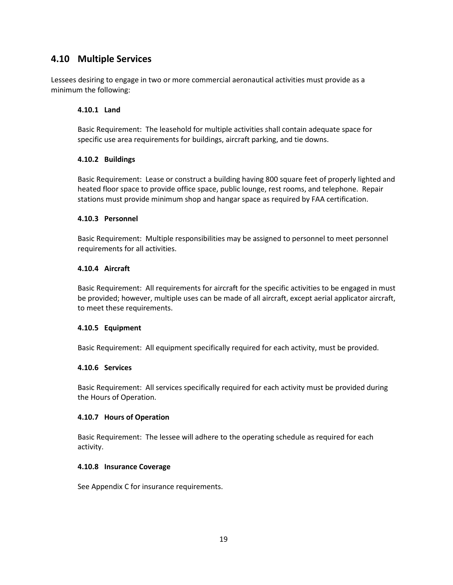### **4.10 Multiple Services**

Lessees desiring to engage in two or more commercial aeronautical activities must provide as a minimum the following:

#### **4.10.1 Land**

Basic Requirement: The leasehold for multiple activities shall contain adequate space for specific use area requirements for buildings, aircraft parking, and tie downs.

#### **4.10.2 Buildings**

Basic Requirement: Lease or construct a building having 800 square feet of properly lighted and heated floor space to provide office space, public lounge, rest rooms, and telephone. Repair stations must provide minimum shop and hangar space as required by FAA certification.

#### **4.10.3 Personnel**

Basic Requirement: Multiple responsibilities may be assigned to personnel to meet personnel requirements for all activities.

#### **4.10.4 Aircraft**

Basic Requirement: All requirements for aircraft for the specific activities to be engaged in must be provided; however, multiple uses can be made of all aircraft, except aerial applicator aircraft, to meet these requirements.

#### **4.10.5 Equipment**

Basic Requirement: All equipment specifically required for each activity, must be provided.

#### **4.10.6 Services**

Basic Requirement: All services specifically required for each activity must be provided during the Hours of Operation.

#### **4.10.7 Hours of Operation**

Basic Requirement: The lessee will adhere to the operating schedule as required for each activity.

#### **4.10.8 Insurance Coverage**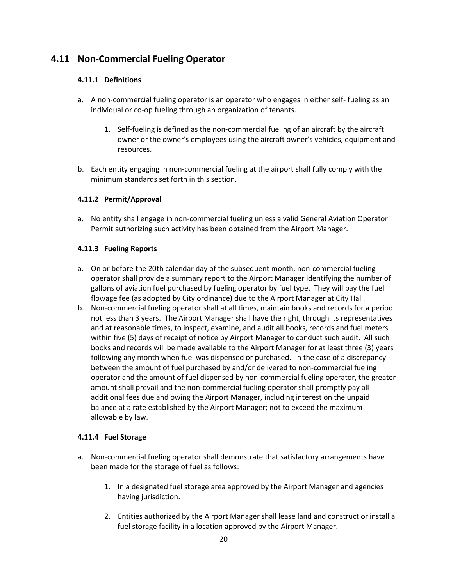### **4.11 Non-Commercial Fueling Operator**

#### **4.11.1 Definitions**

- a. A non-commercial fueling operator is an operator who engages in either self- fueling as an individual or co-op fueling through an organization of tenants.
	- 1. Self-fueling is defined as the non-commercial fueling of an aircraft by the aircraft owner or the owner's employees using the aircraft owner's vehicles, equipment and resources.
- b. Each entity engaging in non-commercial fueling at the airport shall fully comply with the minimum standards set forth in this section.

#### **4.11.2 Permit/Approval**

a. No entity shall engage in non-commercial fueling unless a valid General Aviation Operator Permit authorizing such activity has been obtained from the Airport Manager.

#### **4.11.3 Fueling Reports**

- a. On or before the 20th calendar day of the subsequent month, non-commercial fueling operator shall provide a summary report to the Airport Manager identifying the number of gallons of aviation fuel purchased by fueling operator by fuel type. They will pay the fuel flowage fee (as adopted by City ordinance) due to the Airport Manager at City Hall.
- b. Non-commercial fueling operator shall at all times, maintain books and records for a period not less than 3 years. The Airport Manager shall have the right, through its representatives and at reasonable times, to inspect, examine, and audit all books, records and fuel meters within five (5) days of receipt of notice by Airport Manager to conduct such audit. All such books and records will be made available to the Airport Manager for at least three (3) years following any month when fuel was dispensed or purchased. In the case of a discrepancy between the amount of fuel purchased by and/or delivered to non-commercial fueling operator and the amount of fuel dispensed by non-commercial fueling operator, the greater amount shall prevail and the non-commercial fueling operator shall promptly pay all additional fees due and owing the Airport Manager, including interest on the unpaid balance at a rate established by the Airport Manager; not to exceed the maximum allowable by law.

#### **4.11.4 Fuel Storage**

- a. Non-commercial fueling operator shall demonstrate that satisfactory arrangements have been made for the storage of fuel as follows:
	- 1. In a designated fuel storage area approved by the Airport Manager and agencies having jurisdiction.
	- 2. Entities authorized by the Airport Manager shall lease land and construct or install a fuel storage facility in a location approved by the Airport Manager.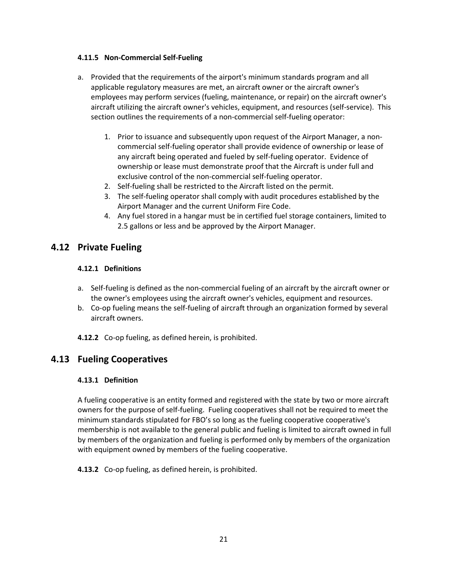#### **4.11.5 Non-Commercial Self-Fueling**

- a. Provided that the requirements of the airport's minimum standards program and all applicable regulatory measures are met, an aircraft owner or the aircraft owner's employees may perform services (fueling, maintenance, or repair) on the aircraft owner's aircraft utilizing the aircraft owner's vehicles, equipment, and resources (self-service). This section outlines the requirements of a non-commercial self-fueling operator:
	- 1. Prior to issuance and subsequently upon request of the Airport Manager, a noncommercial self-fueling operator shall provide evidence of ownership or lease of any aircraft being operated and fueled by self-fueling operator. Evidence of ownership or lease must demonstrate proof that the Aircraft is under full and exclusive control of the non-commercial self-fueling operator.
	- 2. Self-fueling shall be restricted to the Aircraft listed on the permit.
	- 3. The self-fueling operator shall comply with audit procedures established by the Airport Manager and the current Uniform Fire Code.
	- 4. Any fuel stored in a hangar must be in certified fuel storage containers, limited to 2.5 gallons or less and be approved by the Airport Manager.

### **4.12 Private Fueling**

#### **4.12.1 Definitions**

- a. Self-fueling is defined as the non-commercial fueling of an aircraft by the aircraft owner or the owner's employees using the aircraft owner's vehicles, equipment and resources.
- b. Co-op fueling means the self-fueling of aircraft through an organization formed by several aircraft owners.
- **4.12.2** Co-op fueling, as defined herein, is prohibited.

### **4.13 Fueling Cooperatives**

#### **4.13.1 Definition**

A fueling cooperative is an entity formed and registered with the state by two or more aircraft owners for the purpose of self-fueling. Fueling cooperatives shall not be required to meet the minimum standards stipulated for FBO's so long as the fueling cooperative cooperative's membership is not available to the general public and fueling is limited to aircraft owned in full by members of the organization and fueling is performed only by members of the organization with equipment owned by members of the fueling cooperative.

**4.13.2** Co-op fueling, as defined herein, is prohibited.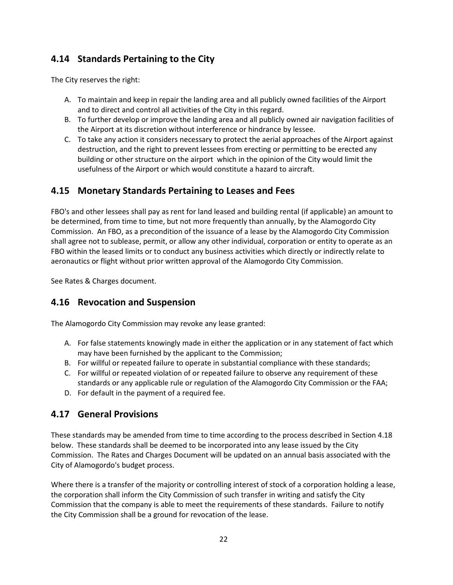# **4.14 Standards Pertaining to the City**

The City reserves the right:

- A. To maintain and keep in repair the landing area and all publicly owned facilities of the Airport and to direct and control all activities of the City in this regard.
- B. To further develop or improve the landing area and all publicly owned air navigation facilities of the Airport at its discretion without interference or hindrance by lessee.
- C. To take any action it considers necessary to protect the aerial approaches of the Airport against destruction, and the right to prevent lessees from erecting or permitting to be erected any building or other structure on the airport which in the opinion of the City would limit the usefulness of the Airport or which would constitute a hazard to aircraft.

# **4.15 Monetary Standards Pertaining to Leases and Fees**

FBO's and other lessees shall pay as rent for land leased and building rental (if applicable) an amount to be determined, from time to time, but not more frequently than annually, by the Alamogordo City Commission. An FBO, as a precondition of the issuance of a lease by the Alamogordo City Commission shall agree not to sublease, permit, or allow any other individual, corporation or entity to operate as an FBO within the leased limits or to conduct any business activities which directly or indirectly relate to aeronautics or flight without prior written approval of the Alamogordo City Commission.

See Rates & Charges document.

### **4.16 Revocation and Suspension**

The Alamogordo City Commission may revoke any lease granted:

- A. For false statements knowingly made in either the application or in any statement of fact which may have been furnished by the applicant to the Commission;
- B. For willful or repeated failure to operate in substantial compliance with these standards;
- C. For willful or repeated violation of or repeated failure to observe any requirement of these standards or any applicable rule or regulation of the Alamogordo City Commission or the FAA;
- D. For default in the payment of a required fee.

### **4.17 General Provisions**

These standards may be amended from time to time according to the process described in Section 4.18 below. These standards shall be deemed to be incorporated into any lease issued by the City Commission. The Rates and Charges Document will be updated on an annual basis associated with the City of Alamogordo's budget process.

Where there is a transfer of the majority or controlling interest of stock of a corporation holding a lease, the corporation shall inform the City Commission of such transfer in writing and satisfy the City Commission that the company is able to meet the requirements of these standards. Failure to notify the City Commission shall be a ground for revocation of the lease.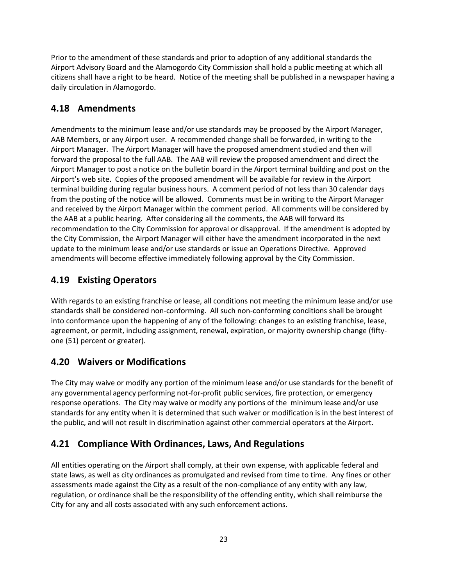Prior to the amendment of these standards and prior to adoption of any additional standards the Airport Advisory Board and the Alamogordo City Commission shall hold a public meeting at which all citizens shall have a right to be heard. Notice of the meeting shall be published in a newspaper having a daily circulation in Alamogordo.

# **4.18 Amendments**

Amendments to the minimum lease and/or use standards may be proposed by the Airport Manager, AAB Members, or any Airport user. A recommended change shall be forwarded, in writing to the Airport Manager. The Airport Manager will have the proposed amendment studied and then will forward the proposal to the full AAB. The AAB will review the proposed amendment and direct the Airport Manager to post a notice on the bulletin board in the Airport terminal building and post on the Airport's web site. Copies of the proposed amendment will be available for review in the Airport terminal building during regular business hours. A comment period of not less than 30 calendar days from the posting of the notice will be allowed. Comments must be in writing to the Airport Manager and received by the Airport Manager within the comment period. All comments will be considered by the AAB at a public hearing. After considering all the comments, the AAB will forward its recommendation to the City Commission for approval or disapproval. If the amendment is adopted by the City Commission, the Airport Manager will either have the amendment incorporated in the next update to the minimum lease and/or use standards or issue an Operations Directive. Approved amendments will become effective immediately following approval by the City Commission.

# **4.19 Existing Operators**

With regards to an existing franchise or lease, all conditions not meeting the minimum lease and/or use standards shall be considered non-conforming. All such non-conforming conditions shall be brought into conformance upon the happening of any of the following: changes to an existing franchise, lease, agreement, or permit, including assignment, renewal, expiration, or majority ownership change (fiftyone (51) percent or greater).

# **4.20 Waivers or Modifications**

The City may waive or modify any portion of the minimum lease and/or use standards for the benefit of any governmental agency performing not-for-profit public services, fire protection, or emergency response operations. The City may waive or modify any portions of the minimum lease and/or use standards for any entity when it is determined that such waiver or modification is in the best interest of the public, and will not result in discrimination against other commercial operators at the Airport.

# **4.21 Compliance With Ordinances, Laws, And Regulations**

All entities operating on the Airport shall comply, at their own expense, with applicable federal and state laws, as well as city ordinances as promulgated and revised from time to time. Any fines or other assessments made against the City as a result of the non-compliance of any entity with any law, regulation, or ordinance shall be the responsibility of the offending entity, which shall reimburse the City for any and all costs associated with any such enforcement actions.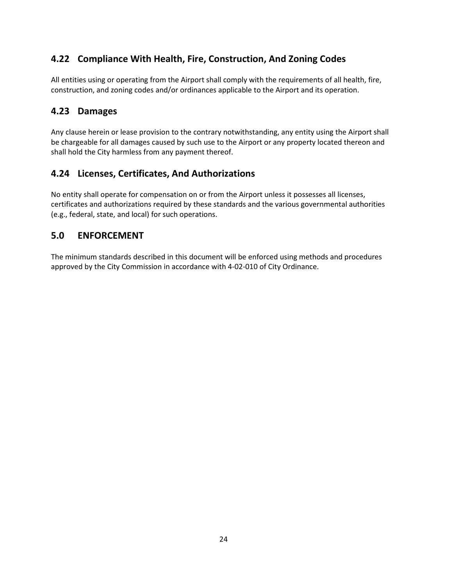# **4.22 Compliance With Health, Fire, Construction, And Zoning Codes**

All entities using or operating from the Airport shall comply with the requirements of all health, fire, construction, and zoning codes and/or ordinances applicable to the Airport and its operation.

### **4.23 Damages**

Any clause herein or lease provision to the contrary notwithstanding, any entity using the Airport shall be chargeable for all damages caused by such use to the Airport or any property located thereon and shall hold the City harmless from any payment thereof.

### **4.24 Licenses, Certificates, And Authorizations**

No entity shall operate for compensation on or from the Airport unless it possesses all licenses, certificates and authorizations required by these standards and the various governmental authorities (e.g., federal, state, and local) for such operations.

### **5.0 ENFORCEMENT**

The minimum standards described in this document will be enforced using methods and procedures approved by the City Commission in accordance with 4-02-010 of City Ordinance.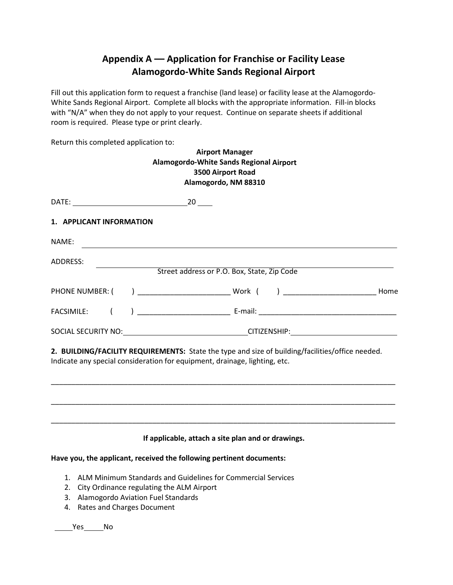# **Appendix A –– Application for Franchise or Facility Lease Alamogordo-White Sands Regional Airport**

Fill out this application form to request a franchise (land lease) or facility lease at the Alamogordo-White Sands Regional Airport. Complete all blocks with the appropriate information. Fill-in blocks with "N/A" when they do not apply to your request. Continue on separate sheets if additional room is required. Please type or print clearly.

Return this completed application to:

|                                                                                                                                                                                |                                                                                                                      | <b>Airport Manager</b><br>Alamogordo-White Sands Regional Airport<br>3500 Airport Road<br>Alamogordo, NM 88310 |  |
|--------------------------------------------------------------------------------------------------------------------------------------------------------------------------------|----------------------------------------------------------------------------------------------------------------------|----------------------------------------------------------------------------------------------------------------|--|
|                                                                                                                                                                                |                                                                                                                      |                                                                                                                |  |
| 1. APPLICANT INFORMATION                                                                                                                                                       |                                                                                                                      |                                                                                                                |  |
| NAME:                                                                                                                                                                          |                                                                                                                      |                                                                                                                |  |
| ADDRESS:                                                                                                                                                                       | <u> 1980 - Johann Barn, mars ann an t-Amhain Aonaich an t-Aonaich an t-Aonaich ann an t-Aonaich ann an t-Aonaich</u> |                                                                                                                |  |
|                                                                                                                                                                                |                                                                                                                      | Street address or P.O. Box, State, Zip Code                                                                    |  |
|                                                                                                                                                                                |                                                                                                                      |                                                                                                                |  |
| $\left($<br><b>FACSIMILE:</b>                                                                                                                                                  |                                                                                                                      |                                                                                                                |  |
|                                                                                                                                                                                |                                                                                                                      |                                                                                                                |  |
| 2. BUILDING/FACILITY REQUIREMENTS: State the type and size of building/facilities/office needed.<br>Indicate any special consideration for equipment, drainage, lighting, etc. |                                                                                                                      |                                                                                                                |  |
|                                                                                                                                                                                |                                                                                                                      | If applicable, attach a site plan and or drawings.                                                             |  |

### **Have you, the applicant, received the following pertinent documents:**

- 1. ALM Minimum Standards and Guidelines for Commercial Services
- 2. City Ordinance regulating the ALM Airport
- 3. Alamogordo Aviation Fuel Standards
- 4. Rates and Charges Document

\_\_\_\_\_\_\_\_\_\_\_\_\_\_\_\_\_No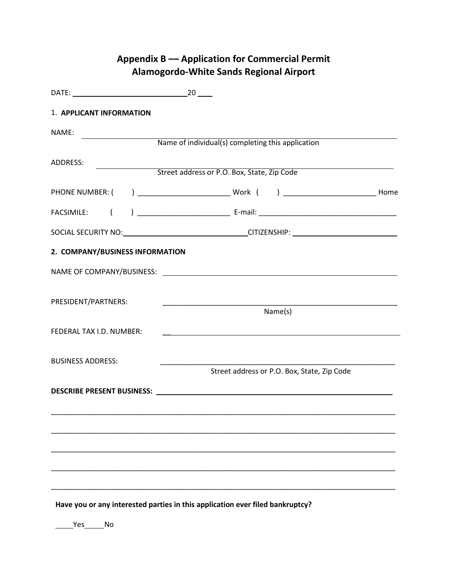|                                           | <b>Appendix B — Application for Commercial Permit</b><br>Alamogordo-White Sands Regional Airport                                 |  |
|-------------------------------------------|----------------------------------------------------------------------------------------------------------------------------------|--|
|                                           |                                                                                                                                  |  |
| 1. APPLICANT INFORMATION                  |                                                                                                                                  |  |
| NAME:                                     |                                                                                                                                  |  |
|                                           | Name of individual(s) completing this application                                                                                |  |
| ADDRESS:                                  | Street address or P.O. Box, State, Zip Code                                                                                      |  |
|                                           |                                                                                                                                  |  |
| $\overline{(\cdot)}$<br><b>FACSIMILE:</b> |                                                                                                                                  |  |
|                                           |                                                                                                                                  |  |
| 2. COMPANY/BUSINESS INFORMATION           |                                                                                                                                  |  |
|                                           |                                                                                                                                  |  |
| PRESIDENT/PARTNERS:                       | <u> 1989 - Johann Barn, mars ann an t-Amhair an t-Amhair an t-Amhair an t-Amhair an t-Amhair an t-Amhair an t-Amh</u><br>Name(s) |  |
| FEDERAL TAX I.D. NUMBER:                  |                                                                                                                                  |  |
| <b>BUSINESS ADDRESS:</b>                  | Street address or P.O. Box, State, Zip Code                                                                                      |  |
| DESCRIBE PRESENT BUSINESS:                | <u> 1980 - Jan Barbara, martin da kasar Amerikaan kasar Amerikaan Indonesia.</u>                                                 |  |
|                                           |                                                                                                                                  |  |
|                                           |                                                                                                                                  |  |
|                                           |                                                                                                                                  |  |
|                                           |                                                                                                                                  |  |
|                                           | Have you or any interested parties in this application ever filed bankruptcy?                                                    |  |

\_\_\_\_\_\_Yes\_\_\_\_\_\_No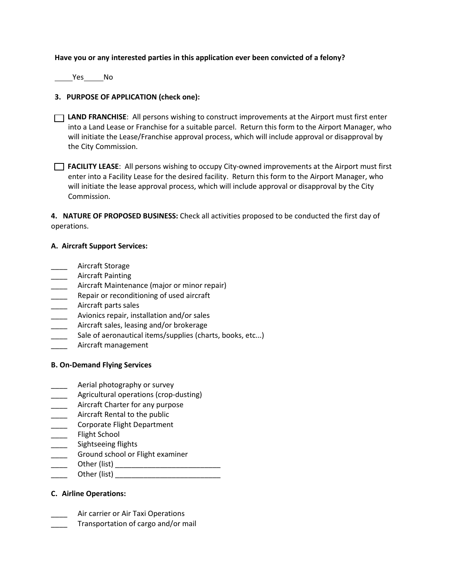#### **Have you or any interested parties in this application ever been convicted of a felony?**

Yes No

#### **3. PURPOSE OF APPLICATION (check one):**

- **LAND FRANCHISE**: All persons wishing to construct improvements at the Airport must first enter into a Land Lease or Franchise for a suitable parcel. Return this form to the Airport Manager, who will initiate the Lease/Franchise approval process, which will include approval or disapproval by the City Commission.
- **FACILITY LEASE**: All persons wishing to occupy City-owned improvements at the Airport must first enter into a Facility Lease for the desired facility. Return this form to the Airport Manager, who will initiate the lease approval process, which will include approval or disapproval by the City Commission.

**4. NATURE OF PROPOSED BUSINESS:** Check all activities proposed to be conducted the first day of operations.

#### **A. Aircraft Support Services:**

- \_\_\_\_ Aircraft Storage
- \_\_\_\_ Aircraft Painting
- Aircraft Maintenance (major or minor repair)
- Repair or reconditioning of used aircraft
- \_\_\_\_ Aircraft parts sales
- **EXECTE:** Avionics repair, installation and/or sales
- Aircraft sales, leasing and/or brokerage
- Sale of aeronautical items/supplies (charts, books, etc...)
- \_\_\_\_ Aircraft management

#### **B. On-Demand Flying Services**

- Aerial photography or survey
- Agricultural operations (crop-dusting)
- \_\_\_\_ Aircraft Charter for any purpose
- \_\_\_\_ Aircraft Rental to the public
- \_\_\_\_ Corporate Flight Department
- \_\_\_\_ Flight School
- \_\_\_\_\_ Sightseeing flights
- **EXECO GROUND SCHOOL OF Flight examiner**
- \_\_\_\_ Other (list) \_\_\_\_\_\_\_\_\_\_\_\_\_\_\_\_\_\_\_\_\_\_\_\_\_\_
- Other (list)  $\Box$

#### **C. Airline Operations:**

- Air carrier or Air Taxi Operations
- Transportation of cargo and/or mail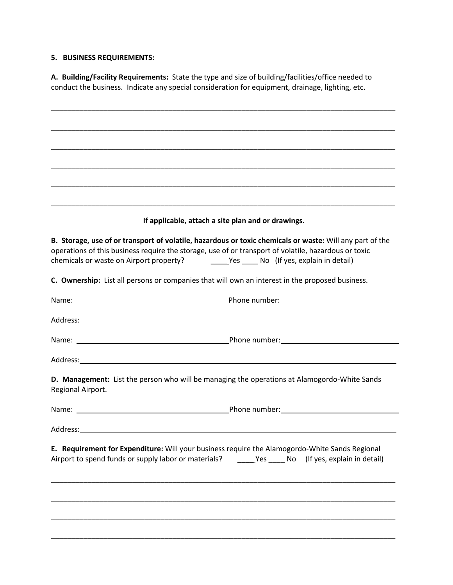#### **5. BUSINESS REQUIREMENTS:**

**A. Building/Facility Requirements:** State the type and size of building/facilities/office needed to conduct the business. Indicate any special consideration for equipment, drainage, lighting, etc.

|                   | If applicable, attach a site plan and or drawings.                                                                                                                                                               |
|-------------------|------------------------------------------------------------------------------------------------------------------------------------------------------------------------------------------------------------------|
|                   | B. Storage, use of or transport of volatile, hazardous or toxic chemicals or waste: Will any part of the<br>operations of this business require the storage, use of or transport of volatile, hazardous or toxic |
|                   | C. Ownership: List all persons or companies that will own an interest in the proposed business.                                                                                                                  |
|                   |                                                                                                                                                                                                                  |
|                   |                                                                                                                                                                                                                  |
|                   |                                                                                                                                                                                                                  |
|                   |                                                                                                                                                                                                                  |
| Regional Airport. | D. Management: List the person who will be managing the operations at Alamogordo-White Sands                                                                                                                     |
|                   |                                                                                                                                                                                                                  |
|                   |                                                                                                                                                                                                                  |
|                   | E. Requirement for Expenditure: Will your business require the Alamogordo-White Sands Regional<br>Airport to spend funds or supply labor or materials? _______Yes _____ No (If yes, explain in detail)           |
|                   |                                                                                                                                                                                                                  |
|                   |                                                                                                                                                                                                                  |
|                   |                                                                                                                                                                                                                  |
|                   |                                                                                                                                                                                                                  |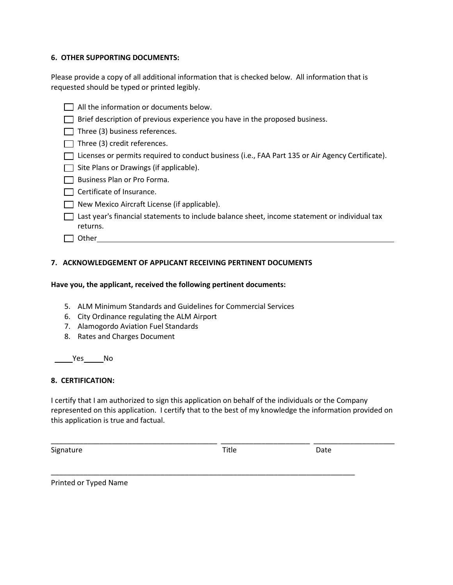#### **6. OTHER SUPPORTING DOCUMENTS:**

Please provide a copy of all additional information that is checked below. All information that is requested should be typed or printed legibly.

All the information or documents below.  $\Box$  Brief description of previous experience you have in the proposed business.  $\Box$  Three (3) business references.  $\Box$  Three (3) credit references. □ Licenses or permits required to conduct business (i.e., FAA Part 135 or Air Agency Certificate).  $\Box$  Site Plans or Drawings (if applicable). Business Plan or Pro Forma. Certificate of Insurance. □ New Mexico Aircraft License (if applicable).  $\Box$  Last year's financial statements to include balance sheet, income statement or individual tax returns.  $\Box$  Other  $\Box$ 

#### **7. ACKNOWLEDGEMENT OF APPLICANT RECEIVING PERTINENT DOCUMENTS**

#### **Have you, the applicant, received the following pertinent documents:**

- 5. ALM Minimum Standards and Guidelines for Commercial Services
- 6. City Ordinance regulating the ALM Airport
- 7. Alamogordo Aviation Fuel Standards
- 8. Rates and Charges Document

Yes No

#### **8. CERTIFICATION:**

I certify that I am authorized to sign this application on behalf of the individuals or the Company represented on this application. I certify that to the best of my knowledge the information provided on this application is true and factual.

| Signature | Title | Date |  |
|-----------|-------|------|--|
|           |       |      |  |
|           |       |      |  |

Printed or Typed Name